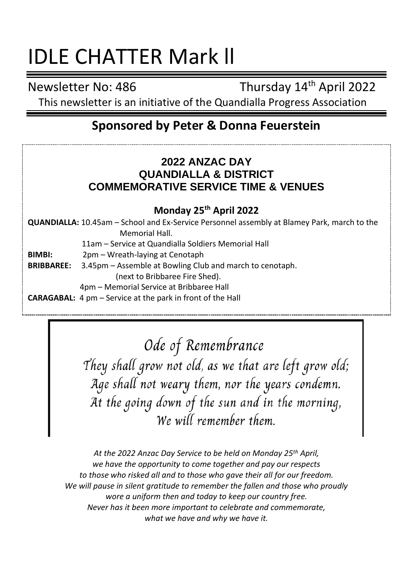# IDLE CHATTER Mark ll

Newsletter No: 486 Thursday 14<sup>th</sup> April 2022

This newsletter is an initiative of the Quandialla Progress Association

## **Sponsored by Peter & Donna Feuerstein**

## **2022 ANZAC DAY QUANDIALLA & DISTRICT COMMEMORATIVE SERVICE TIME & VENUES**

### **Monday 25th April 2022**

**QUANDIALLA:** 10.45am – School and Ex-Service Personnel assembly at Blamey Park, march to the Memorial Hall.

11am – Service at Quandialla Soldiers Memorial Hall

**BIMBI:** 2pm – Wreath-laying at Cenotaph

**BRIBBAREE:** 3.45pm – Assemble at Bowling Club and march to cenotaph.

(next to Bribbaree Fire Shed).

4pm – Memorial Service at Bribbaree Hall

**CARAGABAL:** 4 pm – Service at the park in front of the Hall

Ode of Remembrance

They shall grow not old, as we that are left grow old; Age shall not weary them, nor the years condemn. At the going down of the sun and in the morning, We will remember them

*At the 2022 Anzac Day Service to be held on Monday 25th April, we have the opportunity to come together and pay our respects to those who risked all and to those who gave their all for our freedom. We will pause in silent gratitude to remember the fallen and those who proudly wore a uniform then and today to keep our country free. Never has it been more important to celebrate and commemorate, what we have and why we have it.*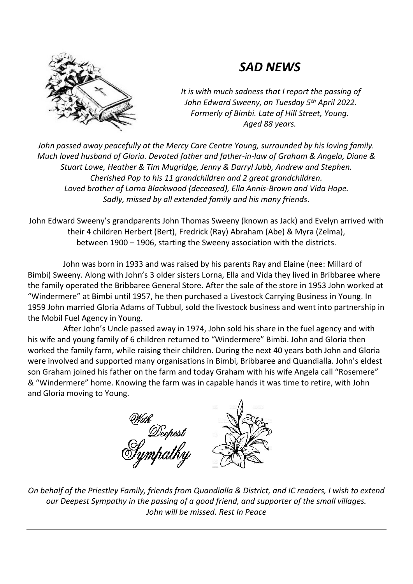## *SAD NEWS*



*It is with much sadness that I report the passing of John Edward Sweeny, on Tuesday 5th April 2022. Formerly of Bimbi. Late of Hill Street, Young. Aged 88 years.*

*John passed away peacefully at the Mercy Care Centre Young, surrounded by his loving family. Much loved husband of Gloria. Devoted father and father-in-law of Graham & Angela, Diane & Stuart Lowe, Heather & Tim Mugridge, Jenny & Darryl Jubb, Andrew and Stephen. Cherished Pop to his 11 grandchildren and 2 great grandchildren. Loved brother of Lorna Blackwood (deceased), Ella Annis-Brown and Vida Hope. Sadly, missed by all extended family and his many friends.*

John Edward Sweeny's grandparents John Thomas Sweeny (known as Jack) and Evelyn arrived with their 4 children Herbert (Bert), Fredrick (Ray) Abraham (Abe) & Myra (Zelma), between 1900 – 1906, starting the Sweeny association with the districts.

John was born in 1933 and was raised by his parents Ray and Elaine (nee: Millard of Bimbi) Sweeny. Along with John's 3 older sisters Lorna, Ella and Vida they lived in Bribbaree where the family operated the Bribbaree General Store. After the sale of the store in 1953 John worked at "Windermere" at Bimbi until 1957, he then purchased a Livestock Carrying Business in Young. In 1959 John married Gloria Adams of Tubbul, sold the livestock business and went into partnership in the Mobil Fuel Agency in Young.

After John's Uncle passed away in 1974, John sold his share in the fuel agency and with his wife and young family of 6 children returned to "Windermere" Bimbi. John and Gloria then worked the family farm, while raising their children. During the next 40 years both John and Gloria were involved and supported many organisations in Bimbi, Bribbaree and Quandialla. John's eldest son Graham joined his father on the farm and today Graham with his wife Angela call "Rosemere" & "Windermere" home. Knowing the farm was in capable hands it was time to retire, with John and Gloria moving to Young.



*On behalf of the Priestley Family, friends from Quandialla & District, and IC readers, I wish to extend our Deepest Sympathy in the passing of a good friend, and supporter of the small villages. John will be missed. Rest In Peace*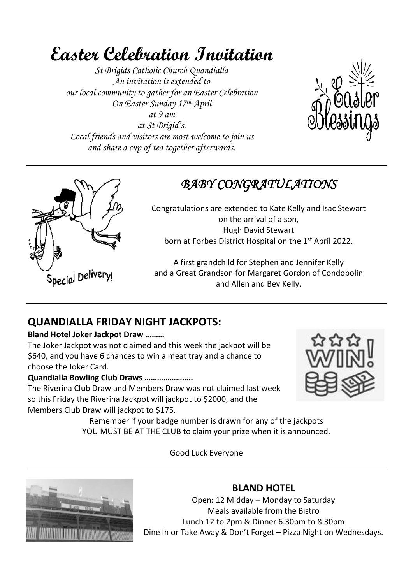## **Easter Celebration Invitation**

*St Brigids Catholic Church Quandialla An invitation is extended to our local community to gather for an Easter Celebration On Easter Sunday 17th April at 9 am at St Brigid's. Local friends and visitors are most welcome to join us and share a cup of tea together afterwards.*





## *BABY CONGRATULATIONS*

Congratulations are extended to Kate Kelly and Isac Stewart on the arrival of a son, Hugh David Stewart born at Forbes District Hospital on the 1<sup>st</sup> April 2022.

A first grandchild for Stephen and Jennifer Kelly and a Great Grandson for Margaret Gordon of Condobolin and Allen and Bev Kelly.

## **QUANDIALLA FRIDAY NIGHT JACKPOTS:**

#### **Bland Hotel Joker Jackpot Draw ………**

The Joker Jackpot was not claimed and this week the jackpot will be \$640, and you have 6 chances to win a meat tray and a chance to choose the Joker Card.

#### **Quandialla Bowling Club Draws …………………..**

The Riverina Club Draw and Members Draw was not claimed last week so this Friday the Riverina Jackpot will jackpot to \$2000, and the Members Club Draw will jackpot to \$175.



Remember if your badge number is drawn for any of the jackpots YOU MUST BE AT THE CLUB to claim your prize when it is announced.

Good Luck Everyone



## **BLAND HOTEL**

Open: 12 Midday – Monday to Saturday Meals available from the Bistro Lunch 12 to 2pm & Dinner 6.30pm to 8.30pm Dine In or Take Away & Don't Forget – Pizza Night on Wednesdays.